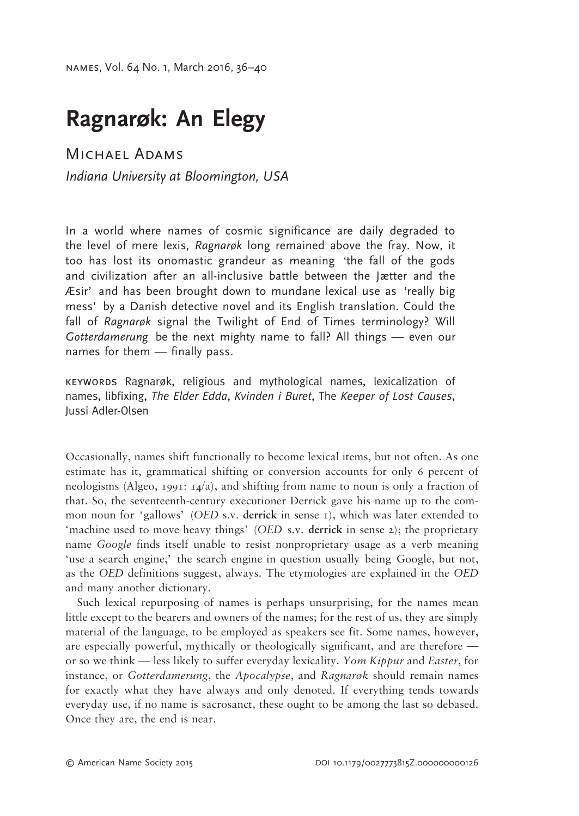names, Vol. 64 No. 1, March 2016, 36–40

## **Ragnarøk: An Elegy**

Michael Adams

*Indiana University at Bloomington, USA*

In a world where names of cosmic significance are daily degraded to the level of mere lexis, *Ragnarøk* long remained above the fray. Now, it too has lost its onomastic grandeur as meaning 'the fall of the gods and civilization after an all-inclusive battle between the Jætter and the Æsir' and has been brought down to mundane lexical use as 'really big mess' by a Danish detective novel and its English translation. Could the fall of *Ragnarøk* signal the Twilight of End of Times terminology? Will *Gotterdamerung* be the next mighty name to fall? All things — even our names for them — finally pass.

keywords Ragnarøk, religious and mythological names, lexicalization of names, libfixing, *The Elder Edda*, *Kvinden i Buret*, The *Keeper of Lost Causes*, Jussi Adler-Olsen

Occasionally, names shift functionally to become lexical items, but not often. As one estimate has it, grammatical shifting or conversion accounts for only 6 percent of neologisms (Algeo, 1991:  $14/a$ ), and shifting from name to noun is only a fraction of that. So, the seventeenth-century executioner Derrick gave his name up to the common noun for 'gallows' (OED s.v. derrick in sense 1), which was later extended to 'machine used to move heavy things' (OED s.v. derrick in sense 2); the proprietary name *Google* finds itself unable to resist nonproprietary usage as a verb meaning 'use a search engine,' the search engine in question usually being Google, but not, as the *OED* definitions suggest, always. The etymologies are explained in the *OED* and many another dictionary.

Such lexical repurposing of names is perhaps unsurprising, for the names mean little except to the bearers and owners of the names; for the rest of us, they are simply material of the language, to be employed as speakers see fit. Some names, however, are especially powerful, mythically or theologically significant, and are therefore or so we think — less likely to suffer everyday lexicality. *Yom Kippur* and *Easter*, for instance, or *Gotterdamerung*, the *Apocalypse*, and *Ragnarøk* should remain names for exactly what they have always and only denoted. If everything tends towards everyday use, if no name is sacrosanct, these ought to be among the last so debased. Once they are, the end is near.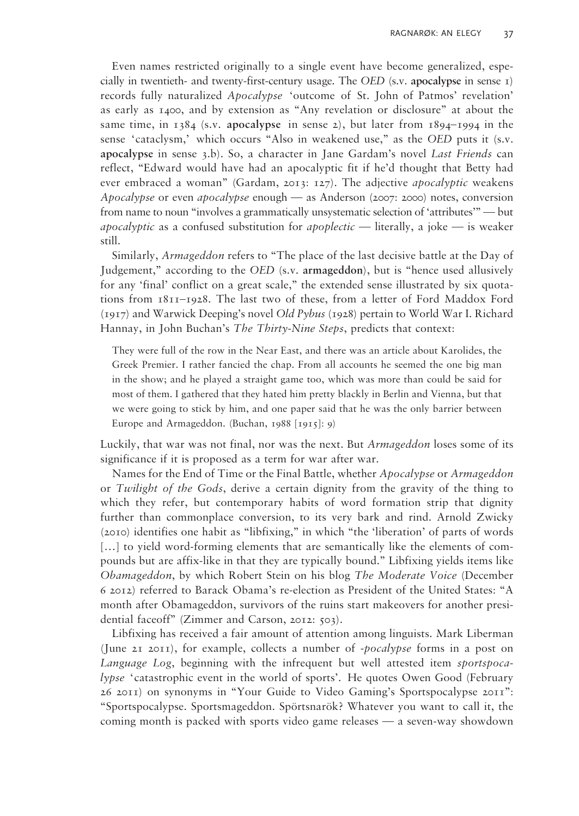Even names restricted originally to a single event have become generalized, especially in twentieth- and twenty-first-century usage. The *OED* (s.v. **apocalypse** in sense 1) records fully naturalized Apocalypse 'outcome of St. John of Patmos' revelation' as early as 1400, and by extension as "Any revelation or disclosure" at about the same time, in 1384 (s.v. **apocalypse** in sense 2), but later from 1894–1994 in the sense 'cataclysm,' which occurs "Also in weakened use," as the *OED* puts it (s.v. **apocalypse** in sense 3.b). So, a character in Jane Gardam's novel *Last Friends* can reflect, "Edward would have had an apocalyptic fit if he'd thought that Betty had ever embraced a woman" (Gardam, 2013: 127). The adjective *apocalyptic* weakens *Apocalypse* or even *apocalypse* enough — as Anderson (2007: 2000) notes, conversion from name to noun "involves a grammatically unsystematic selection of 'attributes'" — but *apocalyptic* as a confused substitution for *apoplectic* — literally, a joke — is weaker still.

Similarly, *Armageddon* refers to "The place of the last decisive battle at the Day of Judgement," according to the *OED* (s.v. **armageddon**), but is "hence used allusively for any 'final' conflict on a great scale," the extended sense illustrated by six quotations from 1811–1928. The last two of these, from a letter of Ford Maddox Ford (1917) and Warwick Deeping's novel *Old Pybus* (1928) pertain to World War I. Richard Hannay, in John Buchan's *The Thirty-Nine Steps*, predicts that context:

They were full of the row in the Near East, and there was an article about Karolides, the Greek Premier. I rather fancied the chap. From all accounts he seemed the one big man in the show; and he played a straight game too, which was more than could be said for most of them. I gathered that they hated him pretty blackly in Berlin and Vienna, but that we were going to stick by him, and one paper said that he was the only barrier between Europe and Armageddon. (Buchan, 1988 [1915]: 9)

Luckily, that war was not final, nor was the next. But *Armageddon* loses some of its significance if it is proposed as a term for war after war.

Names for the End of Time or the Final Battle, whether *Apocalypse* or *Armageddon* or *Twilight of the Gods*, derive a certain dignity from the gravity of the thing to which they refer, but contemporary habits of word formation strip that dignity further than commonplace conversion, to its very bark and rind. Arnold Zwicky (2010) identifies one habit as "libfixing," in which "the 'liberation' of parts of words [...] to yield word-forming elements that are semantically like the elements of compounds but are affix-like in that they are typically bound." Libfixing yields items like *Obamageddon*, by which Robert Stein on his blog *The Moderate Voice* (December 6 2012) referred to Barack Obama's re-election as President of the United States: "A month after Obamageddon, survivors of the ruins start makeovers for another presidential faceoff" (Zimmer and Carson, 2012: 503).

Libfixing has received a fair amount of attention among linguists. Mark Liberman (June 21 2011), for example, collects a number of -*pocalypse* forms in a post on *Language Log*, beginning with the infrequent but well attested item *sportspoca*lypse 'catastrophic event in the world of sports'. He quotes Owen Good (February 26 2011) on synonyms in "Your Guide to Video Gaming's Sportspocalypse 2011": "Sportspocalypse. Sportsmageddon. Spörtsnarök? Whatever you want to call it, the coming month is packed with sports video game releases — a seven-way showdown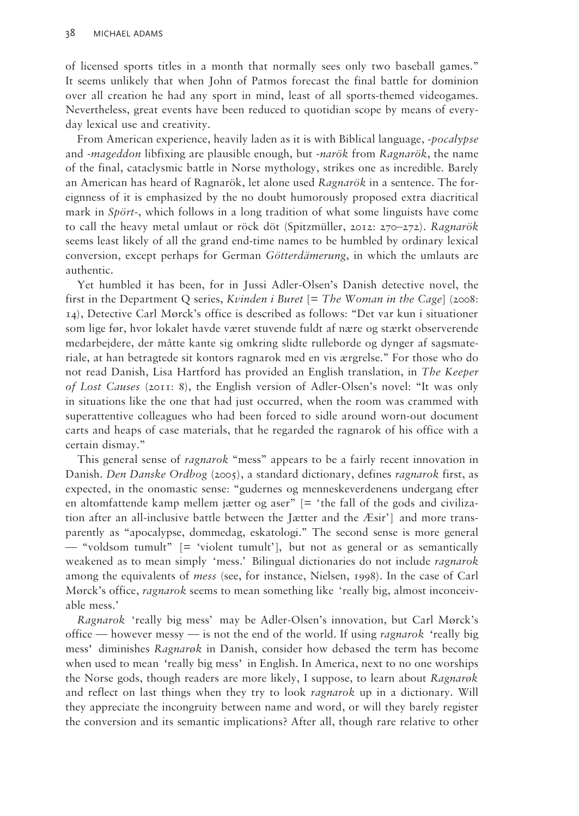of licensed sports titles in a month that normally sees only two baseball games." It seems unlikely that when John of Patmos forecast the final battle for dominion over all creation he had any sport in mind, least of all sports-themed videogames. Nevertheless, great events have been reduced to quotidian scope by means of everyday lexical use and creativity.

From American experience, heavily laden as it is with Biblical language, -*pocalypse* and -*mageddon* libfixing are plausible enough, but -*narök* from *Ragnarök*, the name of the final, cataclysmic battle in Norse mythology, strikes one as incredible. Barely an American has heard of Ragnarök, let alone used *Ragnarök* in a sentence. The foreignness of it is emphasized by the no doubt humorously proposed extra diacritical mark in *Spört*-, which follows in a long tradition of what some linguists have come to call the heavy metal umlaut or röck döt (Spitzmüller, 2012: 270–272). *Ragnarök* seems least likely of all the grand end-time names to be humbled by ordinary lexical conversion, except perhaps for German *Götterdämerung*, in which the umlauts are authentic.

Yet humbled it has been, for in Jussi Adler-Olsen's Danish detective novel, the first in the Department Q series, *Kvinden i Buret* [= *The Woman in the Cage*] (2008: 14), Detective Carl Mørck's office is described as follows: "Det var kun i situationer som lige før, hvor lokalet havde været stuvende fuldt af nære og stærkt observerende medarbejdere, der måtte kante sig omkring slidte rulleborde og dynger af sagsmateriale, at han betragtede sit kontors ragnarok med en vis ærgrelse." For those who do not read Danish, Lisa Hartford has provided an English translation, in *The Keeper of Lost Causes* (2011: 8), the English version of Adler-Olsen's novel: "It was only in situations like the one that had just occurred, when the room was crammed with superattentive colleagues who had been forced to sidle around worn-out document carts and heaps of case materials, that he regarded the ragnarok of his office with a certain dismay."

This general sense of *ragnarok* "mess" appears to be a fairly recent innovation in Danish. *Den Danske Ordbog* (2005), a standard dictionary, defines *ragnarok* first, as expected, in the onomastic sense: "gudernes og menneskeverdenens undergang efter en altomfattende kamp mellem jætter og aser" [= 'the fall of the gods and civilization after an all-inclusive battle between the Jætter and the Æsir'] and more transparently as "apocalypse, dommedag, eskatologi." The second sense is more general — "voldsom tumult" [= 'violent tumult'], but not as general or as semantically weakened as to mean simply 'mess.' Bilingual dictionaries do not include *ragnarok* among the equivalents of *mess* (see, for instance, Nielsen, 1998). In the case of Carl Mørck's office, *ragnarok* seems to mean something like 'really big, almost inconceivable mess. '

Ragnarok 'really big mess' may be Adler-Olsen's innovation, but Carl Mørck's office — however messy — is not the end of the world. If using *ragnarok* 'really big mess' diminishes *Ragnarøk* in Danish, consider how debased the term has become when used to mean 'really big mess' in English. In America, next to no one worships the Norse gods, though readers are more likely, I suppose, to learn about *Ragnarøk* and reflect on last things when they try to look *ragnarok* up in a dictionary. Will they appreciate the incongruity between name and word, or will they barely register the conversion and its semantic implications? After all, though rare relative to other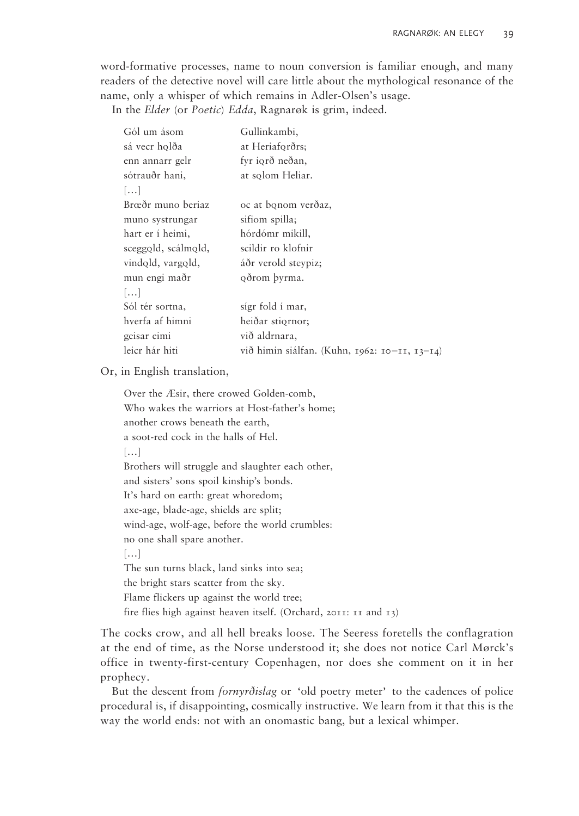word-formative processes, name to noun conversion is familiar enough, and many readers of the detective novel will care little about the mythological resonance of the name, only a whisper of which remains in Adler-Olsen's usage.

In the *Elder* (or *Poetic*) *Edda*, Ragnarøk is grim, indeed.

| Gól um ásom             | Gullinkambi,                                  |
|-------------------------|-----------------------------------------------|
| sá vecr holða           | at Heriaforðrs;                               |
| enn annarr gelr         | fyr iorð neðan,                               |
| sótrauðr hani,          | at solom Heliar.                              |
| $\lceil \dots \rceil$   |                                               |
| Brœðr muno beriaz       | oc at bonom verðaz,                           |
| muno systrungar         | sifiom spilla;                                |
| hart er í heimi,        | hórdómr mikill,                               |
| sceggold, scálmold,     | scildir ro klofnir                            |
| vindold, vargold,       | áðr verold steypiz;                           |
| mun engi maðr           | oðrom byrma.                                  |
| $\left  \ldots \right $ |                                               |
| Sól tér sortna,         | sigr fold i mar,                              |
| hverfa af himni         | heiðar stiornor;                              |
| geisar eimi             | við aldrnara,                                 |
| leicr hár hiti          | við himin siálfan. (Kuhn, 1962: 10–11, 13–14) |
|                         |                                               |

Or, in English translation,

Over the Æsir, there crowed Golden-comb, Who wakes the warriors at Host-father's home; another crows beneath the earth, a soot-red cock in the halls of Hel. […] Brothers will struggle and slaughter each other, and sisters' sons spoil kinship's bonds. It's hard on earth: great whoredom; axe-age, blade-age, shields are split; wind-age, wolf-age, before the world crumbles: no one shall spare another.  $[...]$ The sun turns black, land sinks into sea; the bright stars scatter from the sky. Flame flickers up against the world tree; fire flies high against heaven itself. (Orchard, 2011: 11 and 13)

The cocks crow, and all hell breaks loose. The Seeress foretells the conflagration at the end of time, as the Norse understood it; she does not notice Carl Mørck's office in twenty-first-century Copenhagen, nor does she comment on it in her prophecy.

But the descent from *fornyrðislag* or 'old poetry meter' to the cadences of police procedural is, if disappointing, cosmically instructive. We learn from it that this is the way the world ends: not with an onomastic bang, but a lexical whimper.